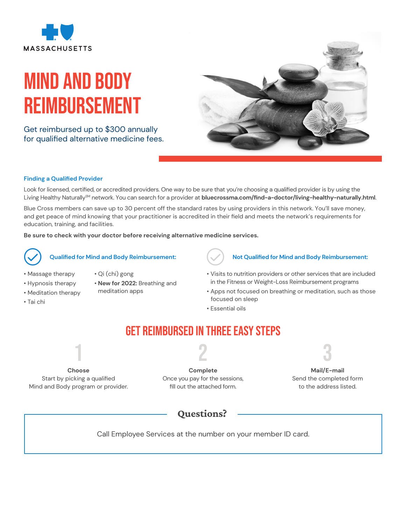

# Mind and body Reimbursement

Get reimbursed up to \$300 annually for qualified alternative medicine fees.



### **Finding a Qualified Provider**

Look for licensed, certified, or accredited providers. One way to be sure that you're choosing a qualified provider is by using the Living Healthy NaturallySM network. You can search for a provider at **[bluecrossma.com/find-a-doctor/living-healthy-naturally.html](http://bluecrossma.com/find-a-doctor/living-healthy-naturally.html)**.

Blue Cross members can save up to 30 percent off the standard rates by using providers in this network. You'll save money, and get peace of mind knowing that your practitioner is accredited in their field and meets the network's requirements for education, training, and facilities.

**Be sure to check with your doctor before receiving alternative medicine services.**



### **Qualified for Mind and Body Reimbursement:**

- Massage therapy
- Hypnosis therapy
- Meditation therapy
- Tai chi
- Qi (chi) gong
	- **New for 2022:** Breathing and
- meditation apps
- 

### **Not Qualified for Mind and Body Reimbursement:**

- Visits to nutrition providers or other services that are included in the Fitness or Weight-Loss Reimbursement programs
- Apps not focused on breathing or meditation, such as those focused on sleep
- Essential oils

### Get Reimbursed in Three Easy Steps

2

**Choose**  Start by picking a qualified Mind and Body program or provider.

1

**Complete** Once you pay for the sessions, fill out the attached form.

3 **Mail/E-mail** Send the completed form to the address listed.

### Questions?

Call Employee Services at the number on your member ID card.